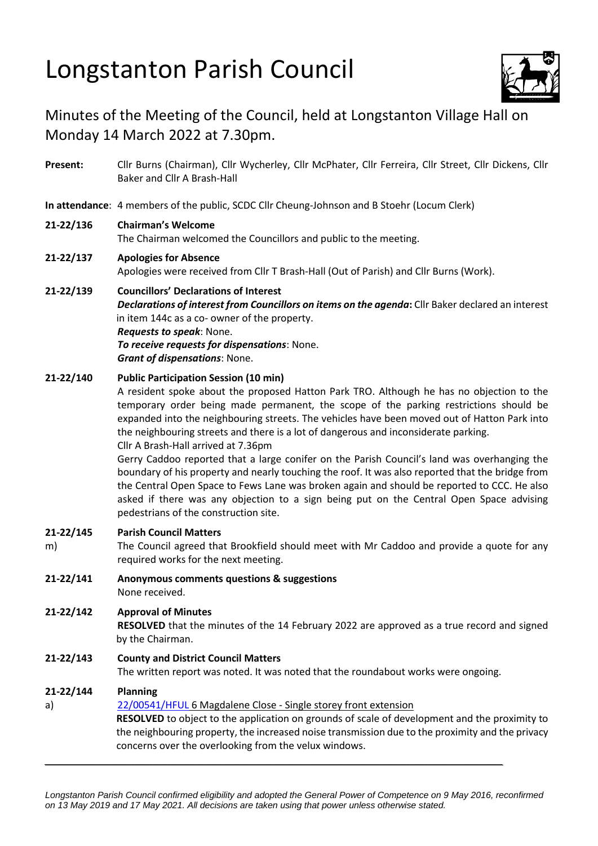# Longstanton Parish Council



# Minutes of the Meeting of the Council, held at Longstanton Village Hall on Monday 14 March 2022 at 7.30pm.

- **Present:** Cllr Burns (Chairman), Cllr Wycherley, Cllr McPhater, Cllr Ferreira, Cllr Street, Cllr Dickens, Cllr Baker and Cllr A Brash-Hall
- **In attendance**: 4 members of the public, SCDC Cllr Cheung-Johnson and B Stoehr (Locum Clerk)

# **21-22/136 Chairman's Welcome**

The Chairman welcomed the Councillors and public to the meeting.

# **21-22/137 Apologies for Absence**

Apologies were received from Cllr T Brash-Hall (Out of Parish) and Cllr Burns (Work).

# **21-22/139 Councillors' Declarations of Interest**

*Declarations of interest from Councillors on items on the agenda***:** Cllr Baker declared an interest in item 144c as a co- owner of the property. *Requests to speak*: None. *To receive requests for dispensations*: None.

*Grant of dispensations*: None.

### **21-22/140 Public Participation Session (10 min)**

A resident spoke about the proposed Hatton Park TRO. Although he has no objection to the temporary order being made permanent, the scope of the parking restrictions should be expanded into the neighbouring streets. The vehicles have been moved out of Hatton Park into the neighbouring streets and there is a lot of dangerous and inconsiderate parking.

Cllr A Brash-Hall arrived at 7.36pm

Gerry Caddoo reported that a large conifer on the Parish Council's land was overhanging the boundary of his property and nearly touching the roof. It was also reported that the bridge from the Central Open Space to Fews Lane was broken again and should be reported to CCC. He also asked if there was any objection to a sign being put on the Central Open Space advising pedestrians of the construction site.

#### **21-22/145 Parish Council Matters**

- m) The Council agreed that Brookfield should meet with Mr Caddoo and provide a quote for any required works for the next meeting.
- **21-22/141 Anonymous comments questions & suggestions** None received.

### **21-22/142 Approval of Minutes**

**RESOLVED** that the minutes of the 14 February 2022 are approved as a true record and signed by the Chairman.

# **21-22/143 County and District Council Matters**

The written report was noted. It was noted that the roundabout works were ongoing.

# **21-22/144 Planning**

#### a) 22/00541/HFUL 6 Magdalene Close - Single storey front extension

**RESOLVED** to object to the application on grounds of scale of development and the proximity to the neighbouring property, the increased noise transmission due to the proximity and the privacy concerns over the overlooking from the velux windows.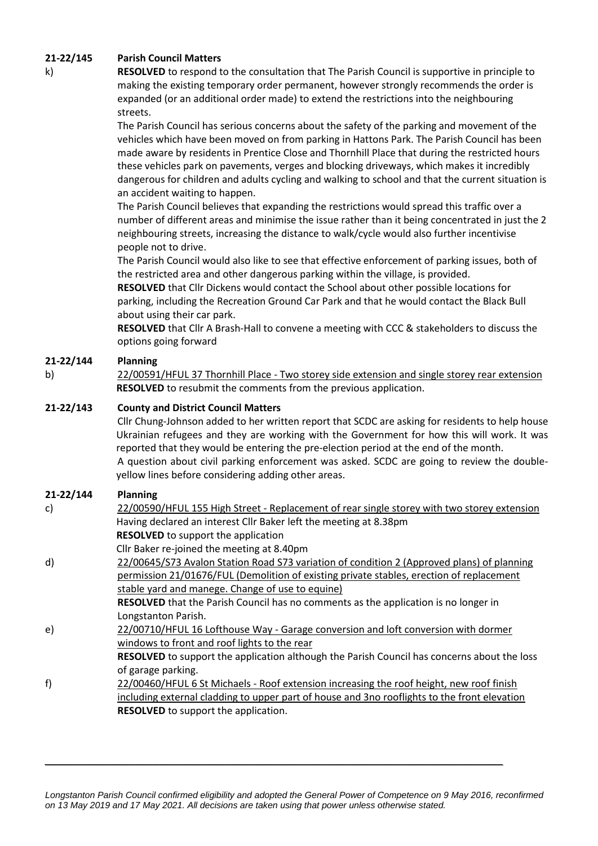### **21-22/145 Parish Council Matters**

k) **RESOLVED** to respond to the consultation that The Parish Council is supportive in principle to making the existing temporary order permanent, however strongly recommends the order is expanded (or an additional order made) to extend the restrictions into the neighbouring streets.

> The Parish Council has serious concerns about the safety of the parking and movement of the vehicles which have been moved on from parking in Hattons Park. The Parish Council has been made aware by residents in Prentice Close and Thornhill Place that during the restricted hours these vehicles park on pavements, verges and blocking driveways, which makes it incredibly dangerous for children and adults cycling and walking to school and that the current situation is an accident waiting to happen.

> The Parish Council believes that expanding the restrictions would spread this traffic over a number of different areas and minimise the issue rather than it being concentrated in just the 2 neighbouring streets, increasing the distance to walk/cycle would also further incentivise people not to drive.

The Parish Council would also like to see that effective enforcement of parking issues, both of the restricted area and other dangerous parking within the village, is provided.

**RESOLVED** that Cllr Dickens would contact the School about other possible locations for parking, including the Recreation Ground Car Park and that he would contact the Black Bull about using their car park.

**RESOLVED** that Cllr A Brash-Hall to convene a meeting with CCC & stakeholders to discuss the options going forward

# **21-22/144 Planning**

b) [22/00591/HFUL](https://applications.greatercambridgeplanning.org/online-applications/PLAN/22/00591/HFUL) 37 Thornhill Place - Two storey side extension and single storey rear extension **RESOLVED** to resubmit the comments from the previous application.

### **21-22/143 County and District Council Matters**

Cllr Chung-Johnson added to her written report that SCDC are asking for residents to help house Ukrainian refugees and they are working with the Government for how this will work. It was reported that they would be entering the pre-election period at the end of the month. A question about civil parking enforcement was asked. SCDC are going to review the doubleyellow lines before considering adding other areas.

#### **21-22/144 Planning**

| c) | 22/00590/HFUL 155 High Street - Replacement of rear single storey with two storey extension        |
|----|----------------------------------------------------------------------------------------------------|
|    | Having declared an interest Cllr Baker left the meeting at 8.38pm                                  |
|    | <b>RESOLVED</b> to support the application                                                         |
|    | Cllr Baker re-joined the meeting at 8.40pm                                                         |
| d) | 22/00645/S73 Avalon Station Road S73 variation of condition 2 (Approved plans) of planning         |
|    | permission 21/01676/FUL (Demolition of existing private stables, erection of replacement           |
|    | stable yard and manege. Change of use to equine)                                                   |
|    | RESOLVED that the Parish Council has no comments as the application is no longer in                |
|    | Longstanton Parish.                                                                                |
| e) | 22/00710/HFUL 16 Lofthouse Way - Garage conversion and loft conversion with dormer                 |
|    | windows to front and roof lights to the rear                                                       |
|    | <b>RESOLVED</b> to support the application although the Parish Council has concerns about the loss |
|    | of garage parking.                                                                                 |
| f) | 22/00460/HFUL 6 St Michaels - Roof extension increasing the roof height, new roof finish           |
|    | including external cladding to upper part of house and 3no rooflights to the front elevation       |
|    | <b>RESOLVED</b> to support the application.                                                        |